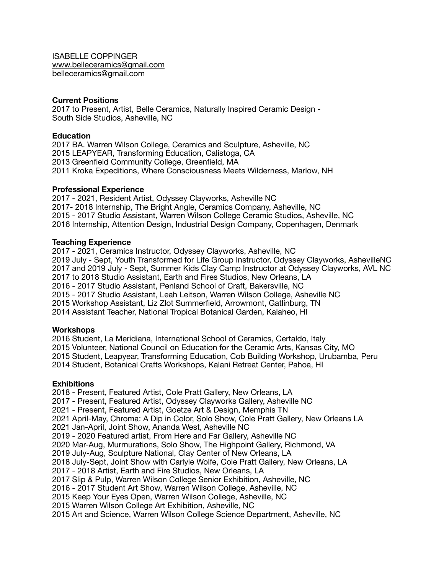ISABELLE COPPINGER [www.belleceramics@gmail.com](mailto:www.belleceramics@gmail.com) [belleceramics@gmail.com](mailto:belleceramics@gmail.com)

# **Current Positions**

2017 to Present, Artist, Belle Ceramics, Naturally Inspired Ceramic Design - South Side Studios, Asheville, NC

## **Education**

2017 BA. Warren Wilson College, Ceramics and Sculpture, Asheville, NC 2015 LEAPYEAR, Transforming Education, Calistoga, CA 2013 Greenfield Community College, Greenfield, MA 2011 Kroka Expeditions, Where Consciousness Meets Wilderness, Marlow, NH

## **Professional Experience**

2017 - 2021, Resident Artist, Odyssey Clayworks, Asheville NC 2017- 2018 Internship, The Bright Angle, Ceramics Company, Asheville, NC 2015 - 2017 Studio Assistant, Warren Wilson College Ceramic Studios, Asheville, NC 2016 Internship, Attention Design, Industrial Design Company, Copenhagen, Denmark

## **Teaching Experience**

2017 - 2021, Ceramics Instructor, Odyssey Clayworks, Asheville, NC 2019 July - Sept, Youth Transformed for Life Group Instructor, Odyssey Clayworks, AshevilleNC 2017 and 2019 July - Sept, Summer Kids Clay Camp Instructor at Odyssey Clayworks, AVL NC 2017 to 2018 Studio Assistant, Earth and Fires Studios, New Orleans, LA 2016 - 2017 Studio Assistant, Penland School of Craft, Bakersville, NC 2015 - 2017 Studio Assistant, Leah Leitson, Warren Wilson College, Asheville NC 2015 Workshop Assistant, Liz Zlot Summerfield, Arrowmont, Gatlinburg, TN 2014 Assistant Teacher, National Tropical Botanical Garden, Kalaheo, HI

#### **Workshops**

2016 Student, La Meridiana, International School of Ceramics, Certaldo, Italy 2015 Volunteer, National Council on Education for the Ceramic Arts, Kansas City, MO 2015 Student, Leapyear, Transforming Education, Cob Building Workshop, Urubamba, Peru 2014 Student, Botanical Crafts Workshops, Kalani Retreat Center, Pahoa, HI

#### **Exhibitions**

2018 - Present, Featured Artist, Cole Pratt Gallery, New Orleans, LA 2017 - Present, Featured Artist, Odyssey Clayworks Gallery, Asheville NC 2021 - Present, Featured Artist, Goetze Art & Design, Memphis TN 2021 April-May, Chroma: A Dip in Color, Solo Show, Cole Pratt Gallery, New Orleans LA 2021 Jan-April, Joint Show, Ananda West, Asheville NC 2019 - 2020 Featured artist, From Here and Far Gallery, Asheville NC 2020 Mar-Aug, Murmurations, Solo Show, The Highpoint Gallery, Richmond, VA 2019 July-Aug, Sculpture National, Clay Center of New Orleans, LA 2018 July-Sept, Joint Show with Carlyle Wolfe, Cole Pratt Gallery, New Orleans, LA 2017 - 2018 Artist, Earth and Fire Studios, New Orleans, LA 2017 Slip & Pulp, Warren Wilson College Senior Exhibition, Asheville, NC 2016 - 2017 Student Art Show, Warren Wilson College, Asheville, NC 2015 Keep Your Eyes Open, Warren Wilson College, Asheville, NC 2015 Warren Wilson College Art Exhibition, Asheville, NC 2015 Art and Science, Warren Wilson College Science Department, Asheville, NC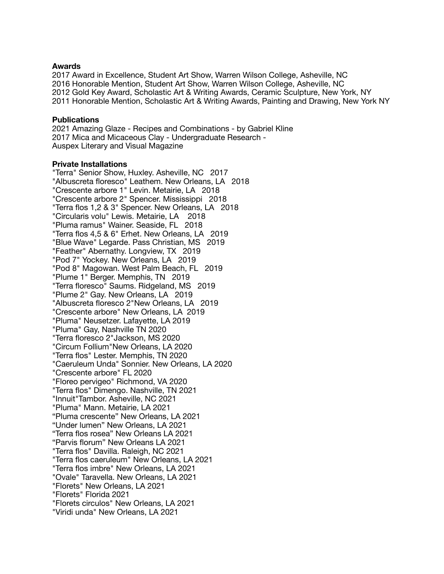## **Awards**

2017 Award in Excellence, Student Art Show, Warren Wilson College, Asheville, NC 2016 Honorable Mention, Student Art Show, Warren Wilson College, Asheville, NC 2012 Gold Key Award, Scholastic Art & Writing Awards, Ceramic Sculpture, New York, NY 2011 Honorable Mention, Scholastic Art & Writing Awards, Painting and Drawing, New York NY

## **Publications**

2021 Amazing Glaze - Recipes and Combinations - by Gabriel Kline 2017 Mica and Micaceous Clay - Undergraduate Research - Auspex Literary and Visual Magazine

## **Private Installations**

"Terra" Senior Show, Huxley. Asheville, NC 2017 "Albuscreta floresco" Leathem. New Orleans, LA 2018 "Crescente arbore 1" Levin. Metairie, LA 2018 "Crescente arbore 2" Spencer. Mississippi 2018 "Terra flos 1,2 & 3" Spencer. New Orleans, LA 2018 "Circularis volu" Lewis. Metairie, LA 2018 "Pluma ramus" Wainer. Seaside, FL 2018 "Terra flos 4,5 & 6" Erhet. New Orleans, LA 2019 "Blue Wave" Legarde. Pass Christian, MS 2019 "Feather" Abernathy. Longview, TX 2019 "Pod 7" Yockey. New Orleans, LA 2019 "Pod 8" Magowan. West Palm Beach, FL 2019 "Plume 1" Berger. Memphis, TN 2019 "Terra floresco" Saums. Ridgeland, MS 2019 "Plume 2" Gay. New Orleans, LA 2019 "Albuscreta floresco 2"New Orleans, LA 2019 "Crescente arbore" New Orleans, LA 2019 "Pluma" Neusetzer. Lafayette, LA 2019 "Pluma" Gay, Nashville TN 2020 "Terra floresco 2"Jackson, MS 2020 "Circum Follium"New Orleans, LA 2020 "Terra flos" Lester. Memphis, TN 2020 "Caeruleum Unda" Sonnier. New Orleans, LA 2020 "Crescente arbore" FL 2020 "Floreo pervigeo" Richmond, VA 2020 "Terra flos" Dimengo. Nashville, TN 2021 "Innuit"Tambor. Asheville, NC 2021 "Pluma" Mann. Metairie, LA 2021 "Pluma crescente" New Orleans, LA 2021 "Under lumen" New Orleans, LA 2021 "Terra flos rosea" New Orleans LA 2021 "Parvis florum" New Orleans LA 2021 "Terra flos" Davilla. Raleigh, NC 2021 "Terra flos caeruleum" New Orleans, LA 2021 "Terra flos imbre" New Orleans, LA 2021 "Ovale" Taravella. New Orleans, LA 2021 "Florets" New Orleans, LA 2021 "Florets" Florida 2021 "Florets circulos" New Orleans, LA 2021 "Viridi unda" New Orleans, LA 2021